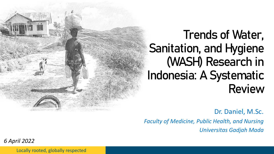

# Trends of Water, Sanitation, and Hygiene (WASH) Research in Indonesia: A Systematic Review

Dr. Daniel, M.Sc.

*Faculty of Medicine, Public Health, and Nursing*

*Universitas Gadjah Mada*

*6 April 2022*

Locally rooted, globally respected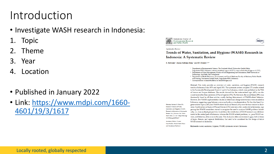## Introduction

- Investigate WASH research in Indonesia:
- **Topic**
- 2. Theme
- 3. Year
- **Location**
- Published in January 2022
- [Link: https://www.mdpi.com/1660-](https://www.mdpi.com/1660-4601/19/3/1617) 4601/19/3/1617







Systematic Review

Trends of Water, Sanitation, and Hygiene (WASH) Research in Indonesia: A Systematic Review

S. Satriani<sup>1</sup>, Izana Saffana Ilma<sup>1</sup> and D. Daniel<sup>2,3,\*</sup>

<sup>1</sup> Department of Environmental Science, The Graduate School, Universitas Gadjah Mada,

- Yogyakarta 55281, Indonesia; satriani.pmu@mail.ugm.ac.id (S.S.); izana.saffana.i@mail.ugm.ac.id (I.S.I.) <sup>2</sup> Department of Water Management, Faculty of Civil Engineering and Geosciences, Delft University of
- Technology, 2628 Delft, The Netherlands <sup>3</sup> Department of Health Behaviour, Environment, and Social Medicine, Faculty of Medicine, Public Health
- and Nursing, Universitas Gadjah Mada, Yogyakarta 55281, Indonesia
- \* Correspondence: d.daniel@tudelft.nl or daniel01@ugm.ac.id

Abstract: This study provides an overview of water, sanitation, and hygiene (WASH) research trends in Indonesia from 1975 until April 2021. The systematic review compiled 272 articles related to the Sustainable Development Goals 6.1 and 6.2 in Indonesia, which were published in the Web of Science and Scopus databases. The results showed that the water-related topic (41%) was discussed more often than sanitation (22%) or hygiene (13%). Furthermore, the social theme (39%) was dominantly found in all these articles, mostly finding determinants of WASH-related behavior However, few WASH implementation studies or behavioral change interventions were recorded in Indonesia, suggesting a gap between science and policy or implementation. On the other hand, hygiene-related topics (14%) and WASH-related financial themes (6%) were the least studied in Indonesia. Combinations of topics (23%) and themes (15%) were also often conducted in Indonesia, suggesting that WASH researchers started to recognize the need to analyze WASH problems holistically, i.e., from multiple perspectives. In addition, the distribution of WASH research was still dominated in the central part of Indonesia, whereas the WASH-related problems, i.e., poor WASH services, and behavior, often occur in this area. This study also offers some research gaps, both in terms of topics, themes, and regional distribution, that need to be considered for the design of future WASH research in Indonesia.

Citation: Satriani, S.; Ilma, I.S.; Daniel, D. Trends of Water, Sanitation, and Hygiene (WASH) Research in Indonesia: A Systematic Review. Int. J. Environ. Res. Public Health 2022, 19, 1617. https://doi.org/ 10.3390/ijerph19031617

Academic Editors: Naomi Cano-Ibañez, Khalid Saeed Khan and Annalaura Carducci

Keywords: water; sanitation; hygiene; WASH; systematic review; Indonesia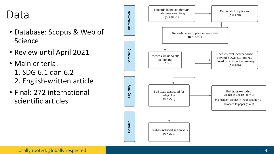#### Data

- Database: Scopus & Web of Science
- Review until April 2021
- Main criteria: 1. SDG 6.1 dan 6.2 2. English -written article
- Final: 272 international scientific articles

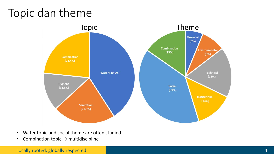#### Topic dan theme



- Water topic and social theme are often studied
- Combination topic  $\rightarrow$  multidiscipline

Locally rooted, globally respected 4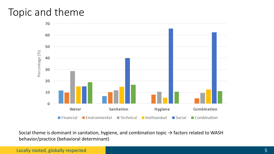#### Topic and theme



Social theme is dominant in sanitation, hygiene, and combination topic  $\rightarrow$  factors related to WASH behavior/practice (behavioral determinant)

**Locally rooted, globally respected 5** and 5 and 5 and 5 and 5 and 5 and 5 and 5 and 5 and 5 and 5 and 5 and 5 and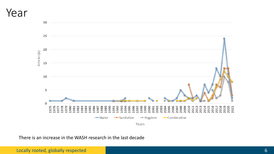#### Year



There is an increase in the WASH research in the last decade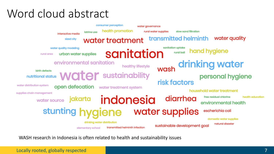### Word cloud abstract



WASH research in Indonesia is often related to health and sustainability issues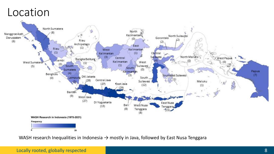#### Location



WASH research Inequalities in Indonesia  $\rightarrow$  mostly in Java, followed by East Nusa Tenggara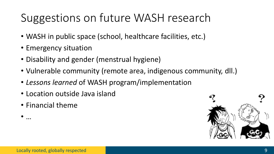# Suggestions on future WASH research

- WASH in public space (school, healthcare facilities, etc.)
- Emergency situation
- Disability and gender (menstrual hygiene)
- Vulnerable community (remote area, indigenous community, dll.)
- *Lessons learned* of WASH program/implementation
- Location outside Java island
- Financial theme

• …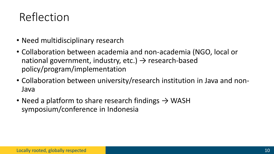### Reflection

- Need multidisciplinary research
- Collaboration between academia and non-academia (NGO, local or national government, industry, etc.)  $\rightarrow$  research-based policy/program/implementation
- Collaboration between university/research institution in Java and non-Java
- Need a platform to share research findings  $\rightarrow$  WASH symposium/conference in Indonesia